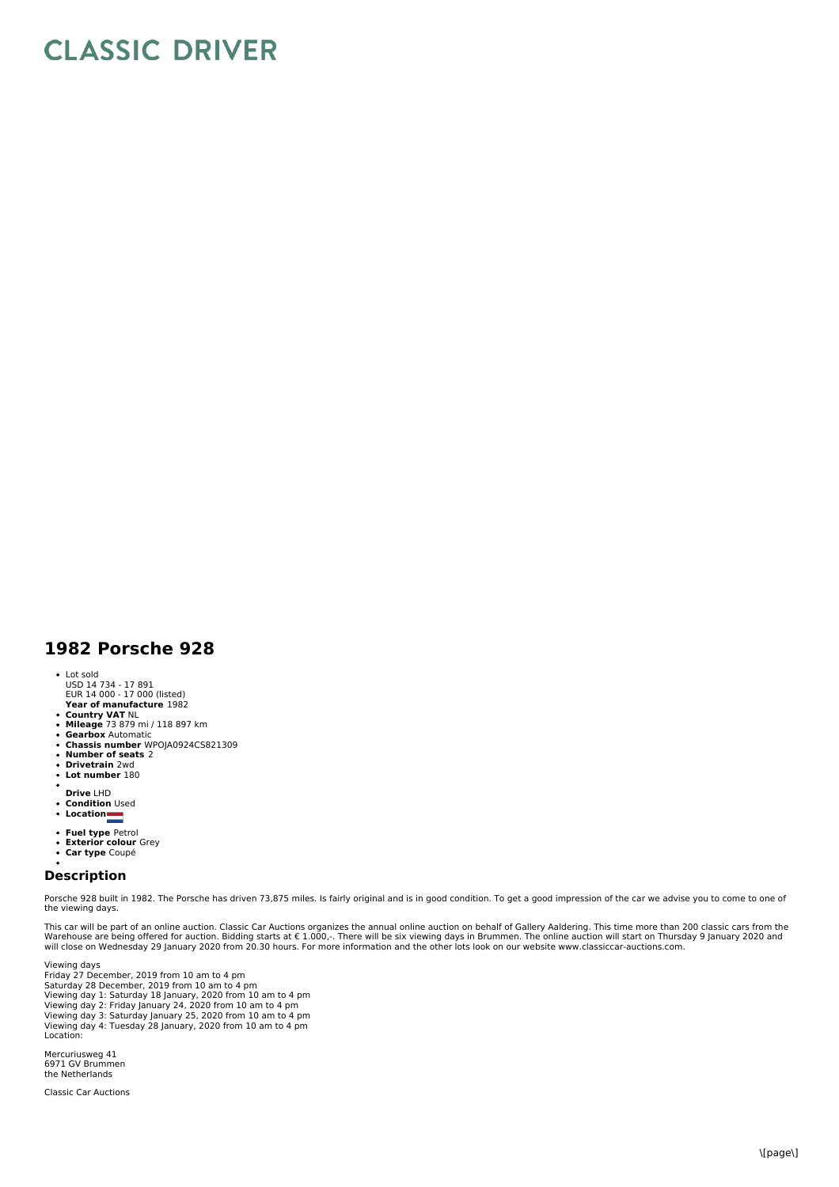## **CLASSIC DRIVER**

## **1982 Porsche 928**

- Lot sold
- USD 14 734 17 891 EUR 14 000 17 000 (listed)
- **Year of manufacture** 1982
- **Country VAT** NL **Mileage** 73 879 mi / 118 897 km
- 
- **Gearbox** Automatic **Chassis number** WPOJA0924CS821309 **Number of seats** 2
- 
- $\bullet$ **Drivetrain** 2wd  $\ddot{\phantom{a}}$
- **Lot number** 180
- 
- **Drive** LHD **Condition** Used  $\ddot{\phantom{0}}$
- **Location**
- 
- **Fuel type** Petrol **Exterior colour** Grey
- **Car type** Coupé

## **Description**

Porsche 928 built in 1982. The Porsche has driven 73,875 miles. Is fairly original and is in good condition. To get a good impression of the car we advise you to come to one of the viewing days.

This car will be part of an online auction. Classic Car Auctions organizes the annual online auction on behalf of Gallery Aaldering. This time more than 200 classic cars from the<br>Warehouse are being offered for auction. Bi

Viewing days Friday 27 December, 2019 from 10 am to 4 pm Saturday 28 December, 2019 from 10 am to 4 pm Viewing day 1: Saturday 18 January, 2020 from 10 am to 4 pm<br>Viewing day 2: Friday January 24, 2020 from 10 am to 4 pm<br>Viewing day 3: Saturday January 25, 2020 from 10 am to 4 pm<br>Viewing day 4: Tuesday 28 January, 2020 from Location:

Mercuriusweg 41 6971 GV Brummen the Netherlands

Classic Car Auctions